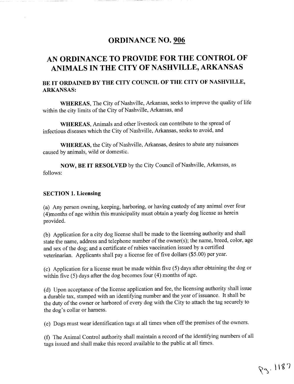# ORDINANCE NO. 906

# AN ORDINANCE TO PROVIDE FOR THE CONTROL OF ANIMALS IN THE CITY OF NASHVILLE, ARKANSAS

### BE IT ORDAINED BY THE CITY COUNCIL OF THE CITY OF NASHVILLE. ARKANSAS

WHEREAS, The City of Nashville, Arkansas, seeks to improve the quality of life within the city limits of the City of Nashville, Arkansas, and

WHEREAS, Animals and other livestock can contribute to the spread of infectious diseases which the City of Nashville, Arkansas, seeks to avoid, and

WHEREAS, the City of Nashville, Arkansas, desires to abate any nuisances caused by animals, wild or domestic.

NOW, BE IT RESOLVED by the City Council of Nashville, Arkansas, as follows

#### **SECTION 1. Licensing**

(a) Any person owning, keeping, harboring, or having custody of any animal over four 4) months of age within this municipality must obtain a yearly dog license as herein provided

b) Application for a city dog license shall be made to the licensing authority and shall state the name, address and telephone number of the owner(s); the name, breed, color, age and sex of the dog; and a certificate of rabies vaccination issued by a certified veterinarian. Applicants shall pay a license fee of five dollars (\$5.00) per year.

(c) Application for a license must be made within five  $(5)$  days after obtaining the dog or within five  $(5)$  days after the dog becomes four  $(4)$  months of age.

(d) Upon acceptance of the license application and fee, the licensing authority shall issue a durable tax, stamped with an identifying number and the year of issuance. It shall be the duty of the owner or harbored of every dog with the City to attach the tag securely to the dog's collar or harness.

(e) Dogs must wear identification tags at all times when off the premises of the owners.

f) The Animal Control authority shall maintain a record of the identifying numbers of all<br>2005 issued and shall make this record available to the public at all times. tags issued and shall make this record available to the public atall times

99.1187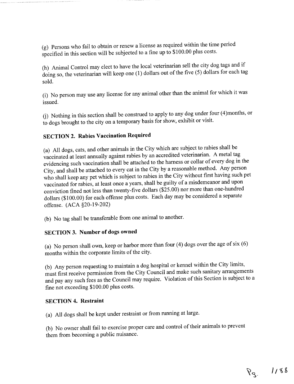(g) Persons who fail to obtain of fellow a filence as required wealth and specified in this section will be subjected to a fine up to \$100.00 plus costs Persons who fail to obtain or renew alicense as required within the time period

(h) Animal Control may elect to have the local veterinarian sell the city dog tags and if  $\frac{d}{dx}$  or  $\frac{d}{dx}$  is the veterinarian will keep one (1) dollars out of the five (5) dollars for each tag sold

(i) No person may use any license for any animal other than the animal for which it was issued

 $(j)$  Nothing in this section shall be construed to apply to any dog under four  $(4)$  months, or to dogs brought to the city on a temporary basis for show exhibit or visit

## SECTION 2. Rabies Vaccination Required

(a) All dogs, cats, and other animals in the City which are subject to rabies shall be vaccinated at least annually against rabies by an accredited veterinarian <sup>A</sup> metal tag evidencing such vaccination shall be attached tothe harness or collar of every dog in the City, and shall be attached to every cat in the City by a reasonable method. Any person who shall keep any pet which is subject to rabies in the City without first having such pet vaccinated for rabies, at least once a years, shall be guilty of a misdemeanor and upon conviction fined not less than twenty-five dollars  $(\overline{$}25.00)$  nor more than one-hundred dollars <sup>100</sup> <sup>00</sup> for each offense plus costs Each day may be considered <sup>a</sup> separate offense. (ACA §20-19-202)

(b) No tag shall be transferable from one animal to another.

## SECTION 3. Number of dogs owned

(a) No person shall own, keep or harbor more than four  $(4)$  dogs over the age of six  $(6)$ months within the corporate limits of the city

<sup>b</sup> Any person requesting to maintain <sup>a</sup> dog hospital or kennel within the City limits must first receive permission from the City Council and make such sanitary arrangements and pay any such fees as the Council may require. Violation of this Section is subject to a fine not exceeding \$100.00 plus costs.

#### **SECTION 4. Restraint**

(a) All dogs shall be kept under restraint or from running at large.

(b) No owner shall fail to exercise proper care and control of their animals to prevent them from becoming a public nuisance.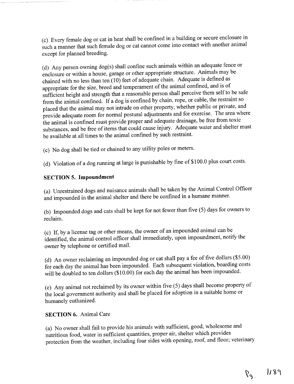(c) Every female dog or cat in heat shall be confined in a building or secure enclosure in such amanner that such female dog or cat cannot come into contact with another animal except for planned breeding

(d) Any person owning dog(s) shall confine such animals within an adequate fence or enclosure or within a house, garage or other appropriate structure. Animals may be chained with no less than ten  $(10)$  feet of adequate chain. Adequate is defined as appropriate for the size, breed and temperament of the animal confined, and is of sufficient height and strength that a reasonable person shall perceive them self to be safe from the animal confined. If a dog is confined by chain, rope, or cable, the restraint so placed that the animal may not intrude on other property, whether public or private, and provide adequate room for normal postural adjustments and for exercise. The area where the animal is confined must provide proper and adequate drainage, be free from toxic substances, and be free of items that could cause injury. Adequate water and shelter must be available at all times to the animal confined by such restraint

(c) No dog shall be tied or chained to any utility poles or meters.

(d) Violation of a dog running at large is punishable by fine of  $$100.0$  plus court costs.

#### SECTION 5. Impoundment

(a) Unrestrained dogs and nuisance animals shall be taken by the Animal Control Officer and impounded in the animal shelter and there be confined in a humane manner.

(b) Impounded dogs and cats shall be kept for not fewer than five (5) days for owners to reclaim

(c) If, by a license tag or other means, the owner of an impounded animal can be identified, the animal control officer shall immediately, upon impoundment, notify the owner by telephone or certified mail.

(d) An owner reclaiming an impounded dog or cat shall pay a fee of five dollars  $(\$5.00)$ for each day the animal has been impounded. Each subsequent violation, boarding costs will be doubled to ten dollars  $(\$10.00)$  for each day the animal has been impounded.

(e) Any animal not reclaimed by its owner within five (5) days shall become property of the local governrnent authority and shall be placed for adoption in <sup>a</sup> suitable home or humanely euthanized.

#### **SECTION 6. Animal Care**

(a) No owner shall fail to provide his animals with sufficient, good, wholesome and nutritious food, water in sufficient quantities, proper air, shelter which provides protection from the weather, including four sides with opening, roof, and floor; veterinary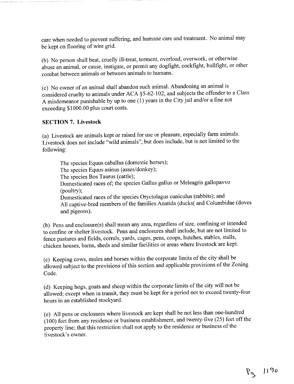care when needed to prevent suffering, and humane care and treatment. No animal may be kept on flooring of wire grid

(b) No person shall beat, cruelly ill-treat, torment, overload, overwork, or otherwise abuse an animal, or cause, instigate, or permit any dogfight, cockfight, bullfight, or other combat between animals or between animals to humans

(c) No owner of an animal shall abandon such animal. Abandoning an animal is considered cruelty to animals under ACA §5-62-102, and subjects the offender to a Class A misdemeanor punishable by up to one  $(1)$  years in the City jail and/or a fine not exceeding \$1000.00 plus court costs.

#### **SECTION 7. Livestock**

(a) Livestock are animals kept or raised for use or pleasure, especially farm animals. Livestock does not include "wild animals", but does include, but is not limited to the following

The species Equus caballus (domestic horses); The species Equus asinus (asses/donkey); The species Bos Taurus (cattle); Domesticated races of; the species Gallus gallus or Meleagris gallopavvo (poultry); Domesticated races of the species Oryctolagus cuniculus (rabbits); and All captive-bred members of the families Anatida (ducks and Columbidae (doves and pigeons

(b) Pens and enclosure(s) shall mean any area, regardless of size, confining or intended to confine or shelter livestock. Pens and enclosures shall include, but are not limited to fence pastures and fields, corrals, yards, cages, pens, coops, hutches, stables, stalls, chicken houses, barns, sheds and similar facilities or areas where livestock are kept.

(c) Keeping cows, mules and horses within the corporate limits of the city shall be allowed subject to the provisions of this section and applicable provisions of the Zoning Code.

(d) Keeping hogs, goats and sheep within the corporate limits of the city will not be allowed; except when in transit, they must be kept for a period not to exceed twenty-four hours in an established stockyard

<sup>e</sup> All pens or enclosures where livestock are kept shall be not less than one hundred  $(100)$  feet from any residence or business establishment, and twenty-five  $(25)$  feet off the property line; that this restriction shall not apply to the residence or business of the livestock's owner.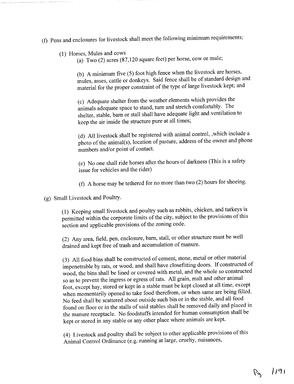- 1 Pens and enclosures for livestock shall meet the following minimum requirements
	- (1) Horses, Mules and cows
		- (a) Two  $(2)$  acres  $(87,120)$  square feet) per horse, cow or mule;

(b) A minimum five  $(5)$  foot high fence when the livestock are horses, mules, asses, cattle or donkeys. Said fence shall be of standard design and material for the proper constraint of the type of large livestock kept; and

<sup>c</sup> Adequate shelter from the weather elements which provides the animals adequate space to stand, turn and stretch comfortably. The shelter, stable, barn or stall shall have adequate light and ventilation to keep the air inside the structure pure at all times;

(d) All livestock shall be registered with animal control, which include a photo of the animal(s), location of pasture, address of the owner and phone numbers and/or point of contact.

(e) No one shall ride horses after the hours of darkness (This is a safety issue for vehicles and the rider

(f) A horse may be tethered for no more than two  $(2)$  hours for shoeing.

g Small Livestock and Poultry

(1) Keeping small livestock and poultry such as rabbits, chicken, and turkeys is permitted within the corporate limits of the city, subject to the provisions of this section and applicable provisions of the zoning code

(2) Any area, field, pen, enclosure, barn, stall, or other structure must be well drained and kept free of trash and accumulation of manure.

(3) All food bins shall be constructed of cement, stone, metal or other material impenetrable by rats, or wood, and shall have closefitting doors. If constructed of wood, the bins shall be lined or covered with metal, and the whole so constructed so as to prevent the ingress or egress of rats. All grain, malt and other animal foot, except hay, stored or kept in a stable must be kept closed at all time, except when momentarily opened to take food therefrom, or when same are being filled. No feed shall be scattered about outside such bin or in the stable, and all food found on floor or in the stalls of said stables shall be removed daily and placed in the manure receptacle. No foodstuffs intended for human consumption shall be kept or stored in any stable or any other place where animals are kept

<sup>4</sup> Livestock and poultry shall be subject to other applicable provisions of this Animal Control Ordinance (e.g. running at large, cruelty, nuisances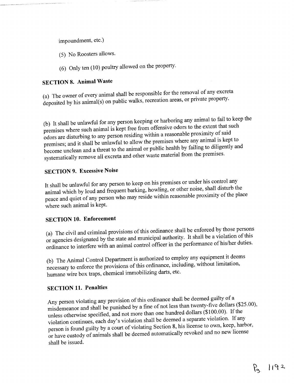impoundment, etc.)

- (5) No Roosters allows.
- $(6)$  Only ten  $(10)$  poultry allowed on the property.

### **SECTION 8. Animal Waste**

(a) The owner of every animal shall be responsible for the removal of any excreta deposited by his animal(s) on public walks, recreation areas, or private property.

(b) It shall be unlawful for any person keeping or harboring any animal to fail to keep the premises where such animal is kept free from offensive odors to the extent that such odors are disturbing to any person residing within <sup>a</sup>reasonable proximity of said premises; and it shall be unlawful to allow the premises where any animal is kept to become unclean and a threat to the animal or public health by failing to diligently and systematically remove all excreta and other waste material from the premises.

# **SECTION 9. Excessive Noise**

It shall be unlawful for any person to keep on his premises or under his control any animal which by loud and frequent barking, howling, or other noise, shall disturb the peace and quiet of any person who may reside within reasonable proximity of the place where such animal is kept.

#### SECTION 10. Enforcement

(a) The civil and criminal provisions of this ordinance shall be enforced by those persons or agencies designated by the state and municipal authority. It shall be a violation of this ordinance to interfere with an animal control officer in the performance of his/her duties.

(b) The Animal Control Department is authorized to employ any equipment it deems necessary to enforce the provisions of this ordinance, including, without limitation, humane wire box traps, chemical immobilizing darts, etc.

#### **SECTION 11. Penalties**

Any person violating any provision of this ordinance shall be deemed guilty of <sup>a</sup> misdemeanor and shall be punished by a fine of not less than twenty-five dollars  $(\$25.00)$ , unless otherwise specified, and not more than one hundred dollars  $(\$100.00)$ . If the violation continues, each day's violation shall be deemed a separate violation. If any person is found guilty by a court of violating Section 8, his license to own, keep, harbor, or have custody of animals shall be deemed automatically revoked and no new license shall be issued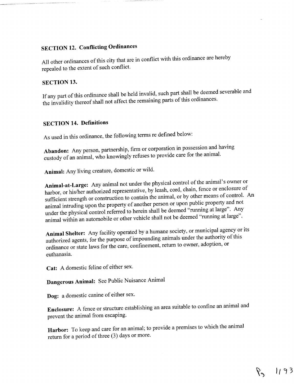# SECTION 12. Conflicting Ordinances

All other ordinances of this city that are in conflict with this ordinance are hereby repealed to the extent of such conflict

#### SECTION 13.

If any part of this ordinance shall be held invalid, such part shall be deemed severable and the invalidity thereof shall not affect the remaining parts of this ordinances.

### SECTION 14. Definitions

As used in this ordinance, the following terms re defined below:

Abandon: Any person, partnership, firm or corporation in possession and having custody of an animal, who knowingly refuses to provide care for the animal.

Animal: Any living creature, domestic or wild.

Animal-at-Large: Any animal not under the physical control of the animal's owner or harbor, or his/her authorized representative, by leash, cord, chain, fence or enclosure of sufficient strength or construction to contain the animal, or by other means of control. An animal intruding upon the property of another person or upon public property and not under the physical control referred to herein shall be deemed "running at large". Any animal within an automobile or other vehicle shall not be deemed "running at large".

Animal Shelter: Any facility operated by a humane society, or municipal agency or its authorized agents, for the purpose of impounding animals under the authority of this ordinance or state laws for the care, confinement, return to owner, adoption, or euthanasia

Cat: A domestic feline of either sex.

Dangerous Animal: See Public Nuisance Animal

Dog: a domestic canine of either sex.

Enclosure: A fence or structure establishing an area suitable to confine an animal and prevent the animal from escaping

Harbor: To keep and care for an animal; to provide a premises to which the animal return for a period of three (3) days or more.

89 1193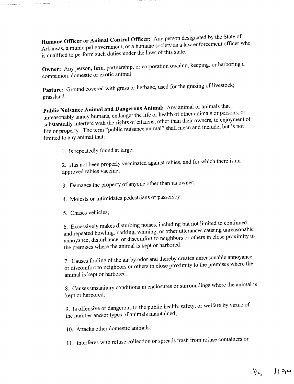Humane Officer or Animal Control Officer: Any person designated by the State of Arkansas, a municipal government, or a humane society as a law enforcement officer who is qualified to perform such duties under the laws of this state.

Owner: Any person, firm, partnership, or corporation owning, keeping, or harboring a companion, domestic or exotic animal

Pasture: Ground covered with grass or herbage, used for the grazing of livestock; grassland

Public Nuisance Animal and Dangerous Animal: Any animal or animals that unreasonably annoy humans, endanger the life or health of other animals or persons, or substantially interfere with the rights of citizens, other than their owners, to enjoyment of life or property. The term "public nuisance animal" shall mean and include, but is not limited to any animal that:

1. Is repeatedly found at large;

2. Has not been properly vaccinated against rabies, and for which there is an approved rabies vaccine

3. Damages the property of anyone other than its owner;

- 4. Molests or intimidates pedestrians or passersby;
- 5. Chases vehicles;

<sup>6</sup> Excessively makes disturbing noises including but not limited to continued and repeated howling, barking, whining, or other utterances causing unreasonable annoyance, disturbance, or discomfort to neighbors or others in close proximity to the premises where the animal is kept or harbored.

7. Causes fouling of the air by odor and thereby creates unreasonable annoyance or discomfort to neighbors or others in close proximity to the premises where the animal is kept or harbored

8. Causes unsanitary conditions in enclosures or surroundings where the animal is kept or harbored;

9. Is offensive or dangerous to the public health, safety, or welfare by virtue of the number and/or types of animals maintained;

10. Attacks other domestic animals;

11. Interferes with refuse collection or spreads trash from refuse containers or

 $P_{9}$  /194